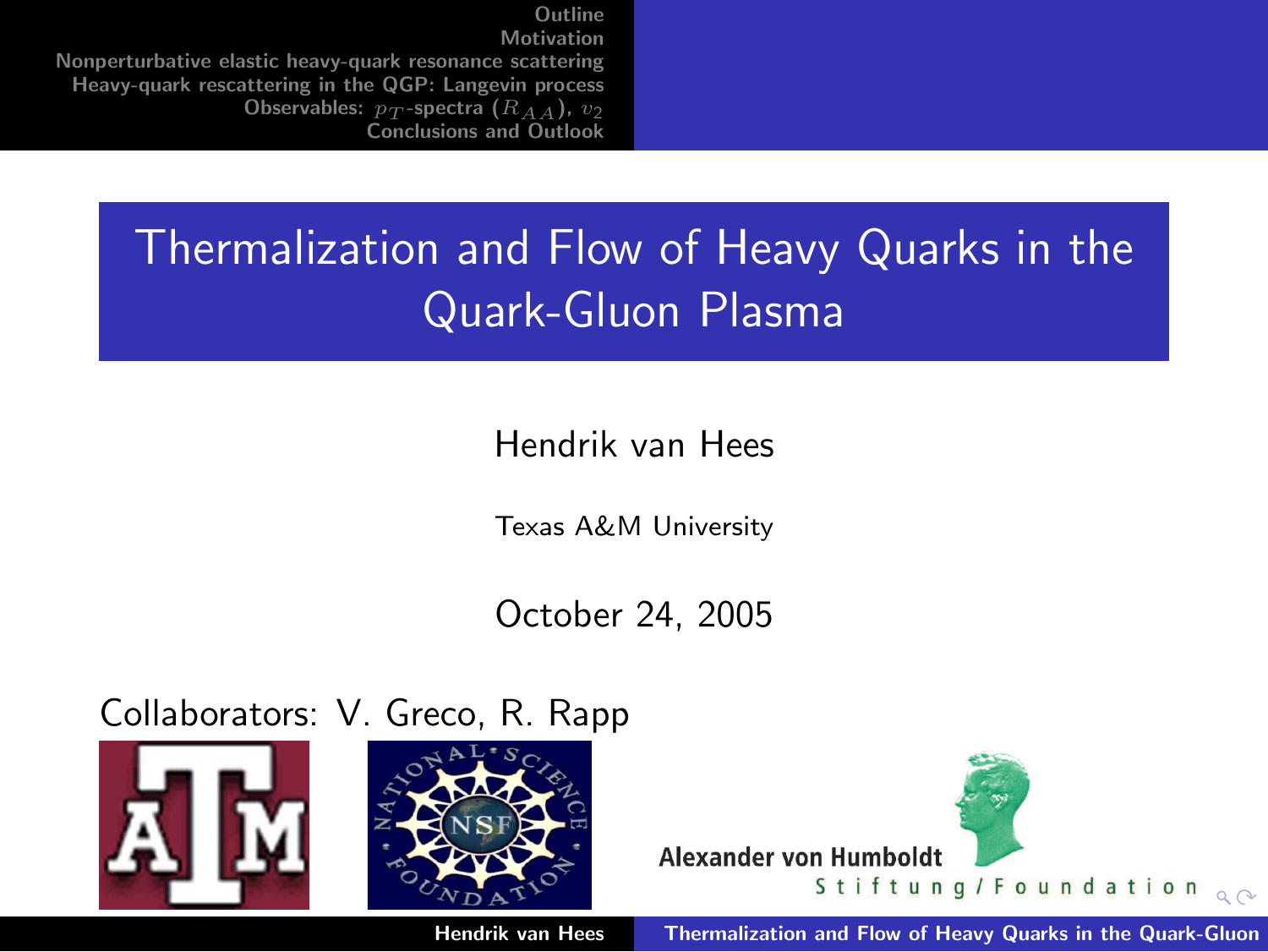# Thermalization and Flow of Heavy Quarks in the Quark-Gluon Plasma

Hendrik van Hees

Texas A&M University

October 24, 2005

#### Collaborators: V. Greco, R. Rapp





<span id="page-0-0"></span>

Hendrik van Hees Thermalization and Flow of Heavy Quarks in the Quark-Gluon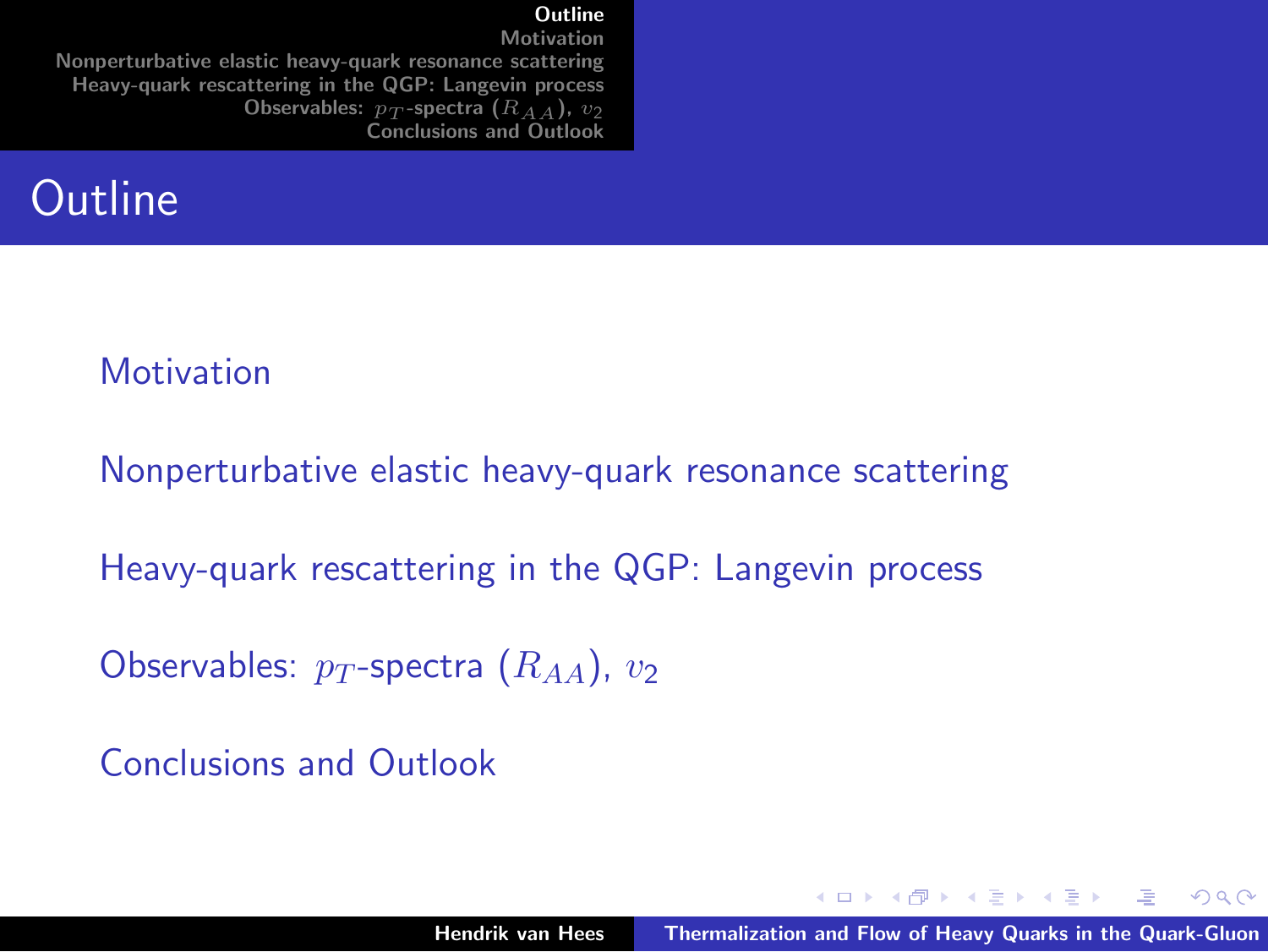#### [Outline](#page-1-0)

**Motivation** [Nonperturbative elastic heavy-quark resonance scattering](#page-4-0) [Heavy-quark rescattering in the QGP: Langevin process](#page-8-0) [Observables:](#page-12-0)  $p_T$ -spectra  $(R_{AA})$ ,  $v_2$ [Conclusions and Outlook](#page-15-0)

## **Outline**

#### **[Motivation](#page-2-0)**

[Nonperturbative elastic heavy-quark resonance scattering](#page-4-0)

[Heavy-quark rescattering in the QGP: Langevin process](#page-8-0)

[Observables:](#page-12-0)  $p_T$ -spectra  $(R_{AA})$ ,  $v_2$ 

[Conclusions and Outlook](#page-15-0)

<span id="page-1-0"></span>イロメ マ桐 メラミンマチャ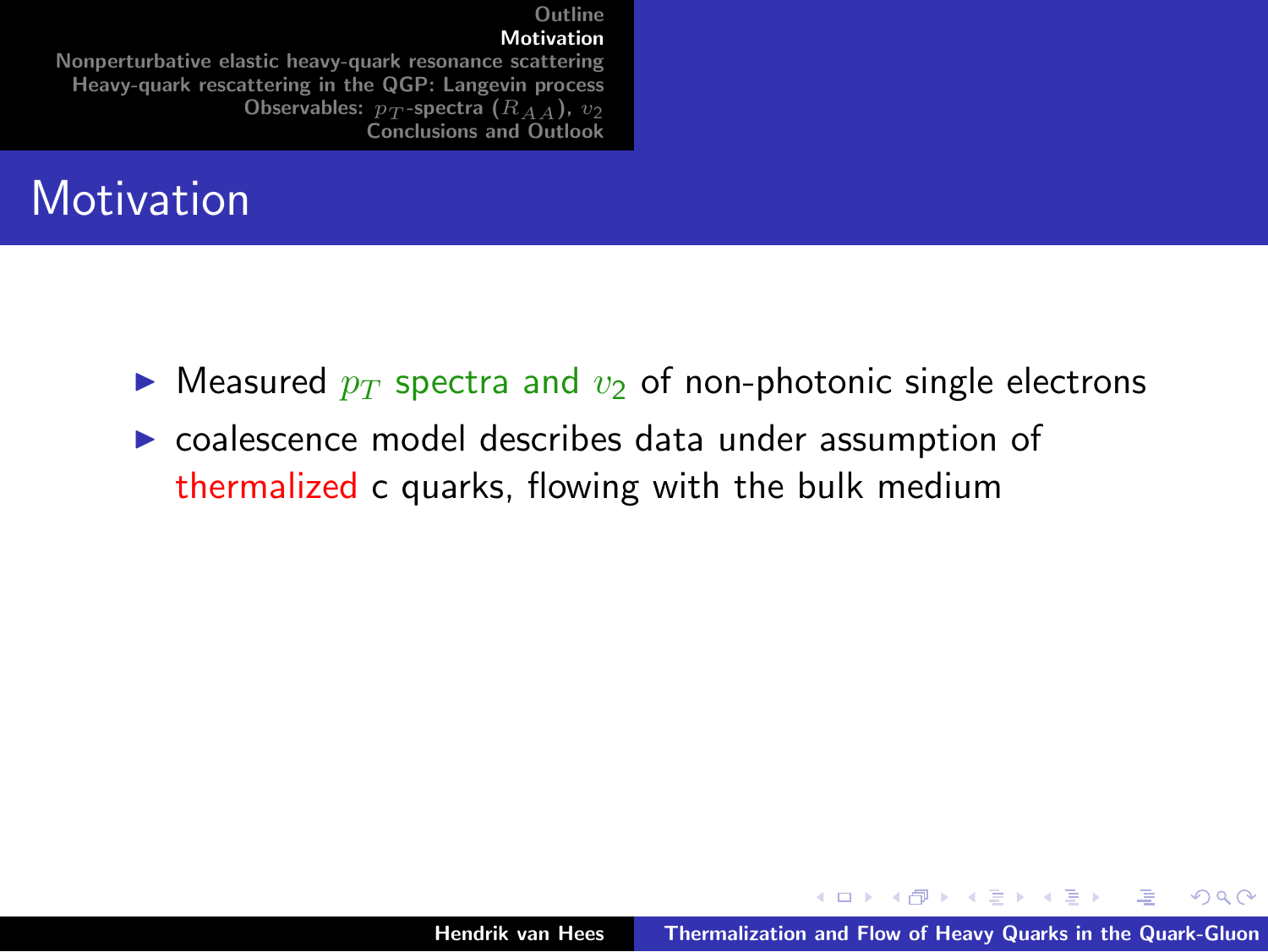[Outline](#page-1-0)

#### Motivation

[Nonperturbative elastic heavy-quark resonance scattering](#page-4-0) [Heavy-quark rescattering in the QGP: Langevin process](#page-8-0) [Observables:](#page-12-0)  $p_T$ -spectra  $(R_{AA})$ ,  $v_2$ [Conclusions and Outlook](#page-15-0)



- $\triangleright$  Measured  $p_T$  spectra and  $v_2$  of non-photonic single electrons
- $\triangleright$  coalescence model describes data under assumption of thermalized c quarks, flowing with the bulk medium

<span id="page-2-0"></span>K ロ ⊁ K 倒 ≯ K ミ ⊁ K ミ ⊁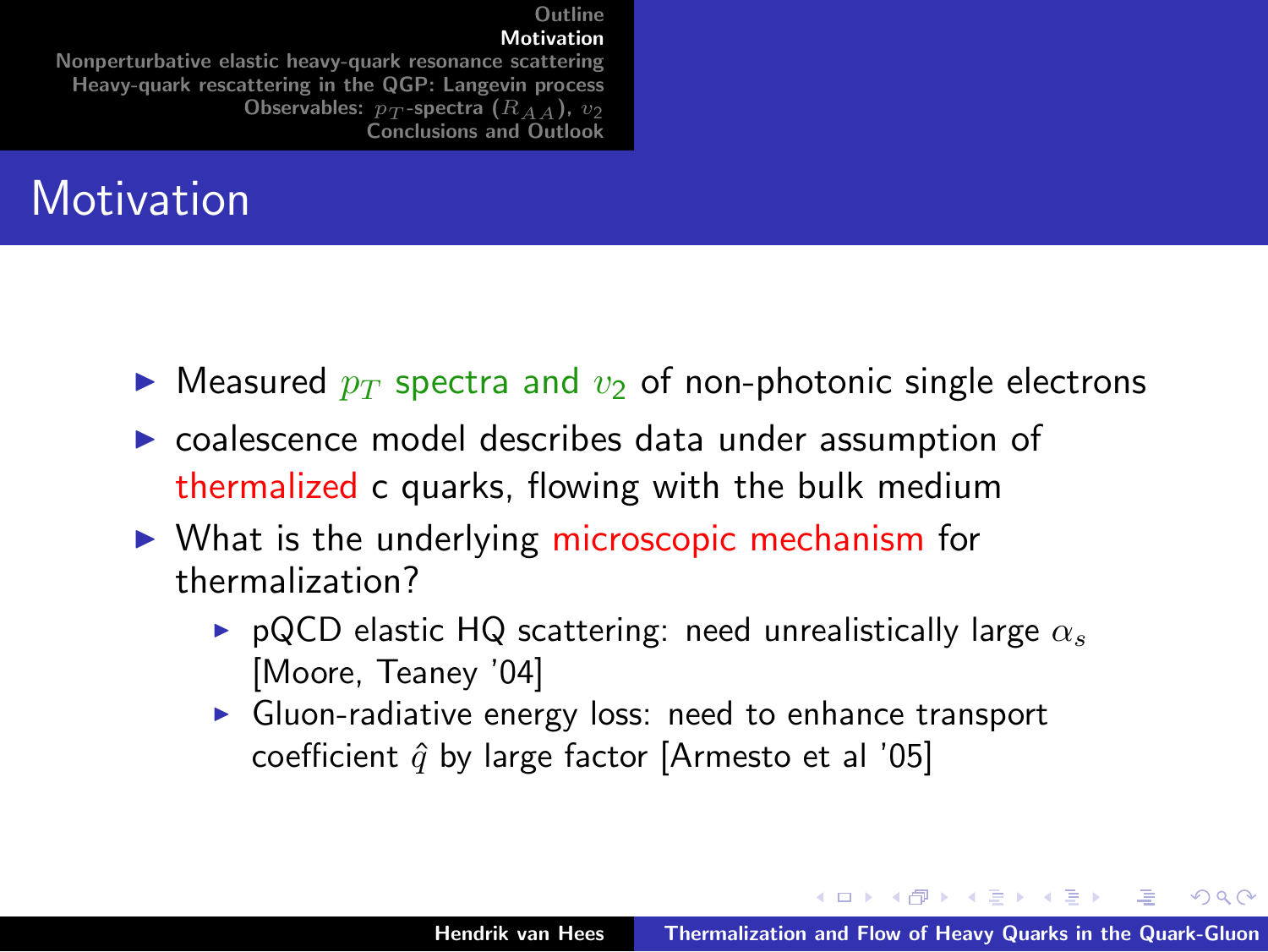[Outline](#page-1-0)

#### **Motivation**

[Nonperturbative elastic heavy-quark resonance scattering](#page-4-0) [Heavy-quark rescattering in the QGP: Langevin process](#page-8-0) [Observables:](#page-12-0)  $p_T$ -spectra  $(R_{AA})$ ,  $v_2$ [Conclusions and Outlook](#page-15-0)

# **Motivation**

- $\triangleright$  Measured  $p_T$  spectra and  $v_2$  of non-photonic single electrons
- $\triangleright$  coalescence model describes data under assumption of thermalized c quarks, flowing with the bulk medium
- $\triangleright$  What is the underlying microscopic mechanism for thermalization?
	- **P** pQCD elastic HQ scattering: need unrealistically large  $\alpha_s$ [Moore, Teaney '04]
	- $\triangleright$  Gluon-radiative energy loss: need to enhance transport coefficient  $\hat{q}$  by large factor [Armesto et al '05]

<span id="page-3-0"></span>メロメ メ御き メミメ メミメー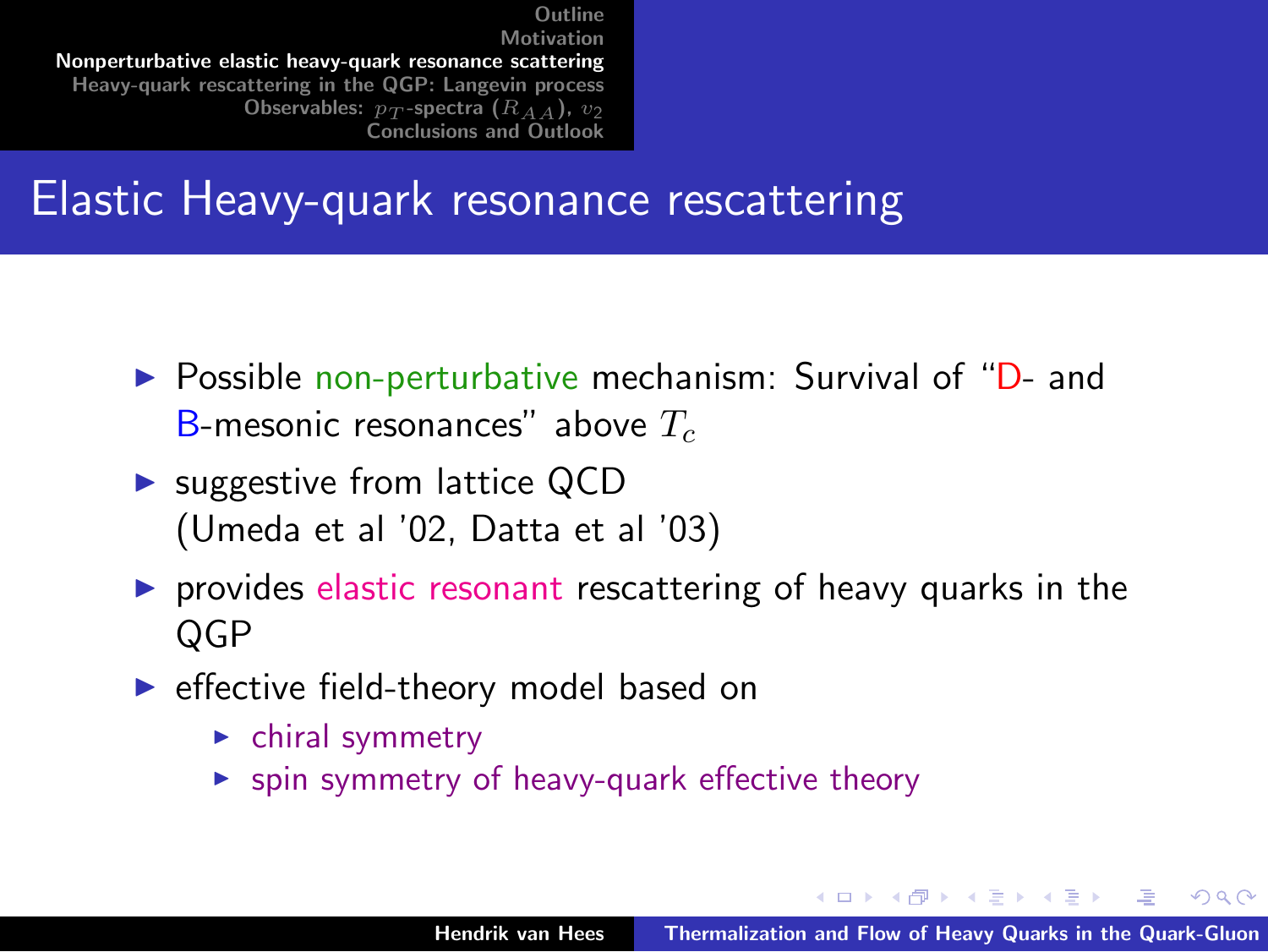#### Elastic Heavy-quark resonance rescattering

- ▶ Possible non-perturbative mechanism: Survival of "D- and B-mesonic resonances" above  $T_c$
- $\triangleright$  suggestive from lattice QCD (Umeda et al '02, Datta et al '03)
- $\triangleright$  provides elastic resonant rescattering of heavy quarks in the QGP
- $\blacktriangleright$  effective field-theory model based on
	- $\blacktriangleright$  chiral symmetry
	- $\triangleright$  spin symmetry of heavy-quark effective theory

<span id="page-4-0"></span>イロメ イ部メ イヨメ イヨメー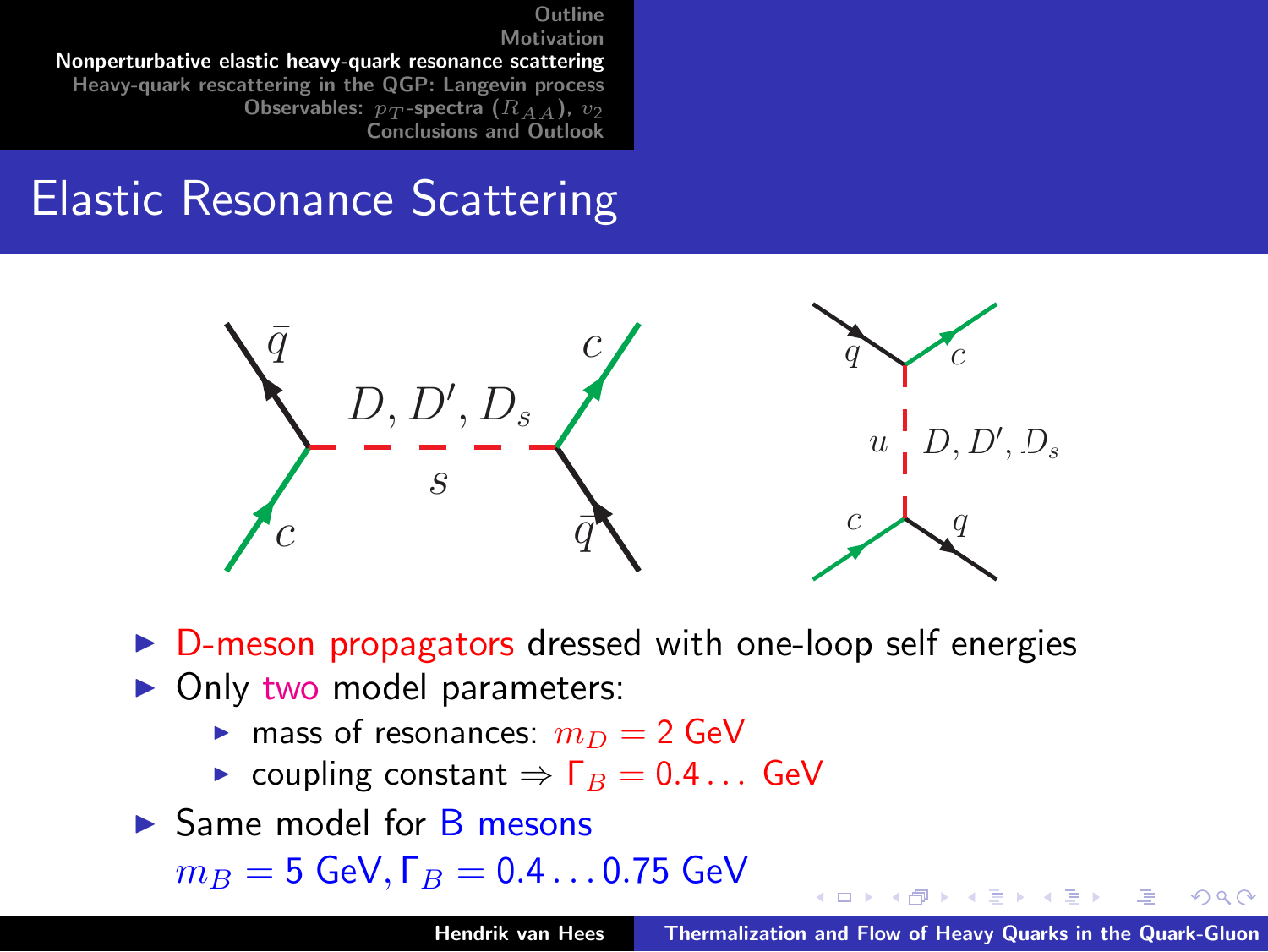[Outline](#page-1-0) **Motivation** 

[Nonperturbative elastic heavy-quark resonance scattering](#page-4-0) [Heavy-quark rescattering in the QGP: Langevin process](#page-8-0) [Observables:](#page-12-0)  $p_T$ -spectra  $(R_{AA})$ ,  $v_2$ [Conclusions and Outlook](#page-15-0)

## Elastic Resonance Scattering



 $\triangleright$  D-meson propagators dressed with one-loop self energies

- $\triangleright$  Only two model parameters:
	- **In mass of resonances:**  $m_D = 2$  GeV
	- ► coupling constant  $\Rightarrow$   $\Gamma_B = 0.4 \dots$  GeV
- $\triangleright$  Same model for B mesons

 $m_B = 5$  GeV,  $\Gamma_B = 0.4 \dots 0.75$  GeV

K ロ ⊁ K 倒 ≯ K ミ ⊁ K ミ ⊁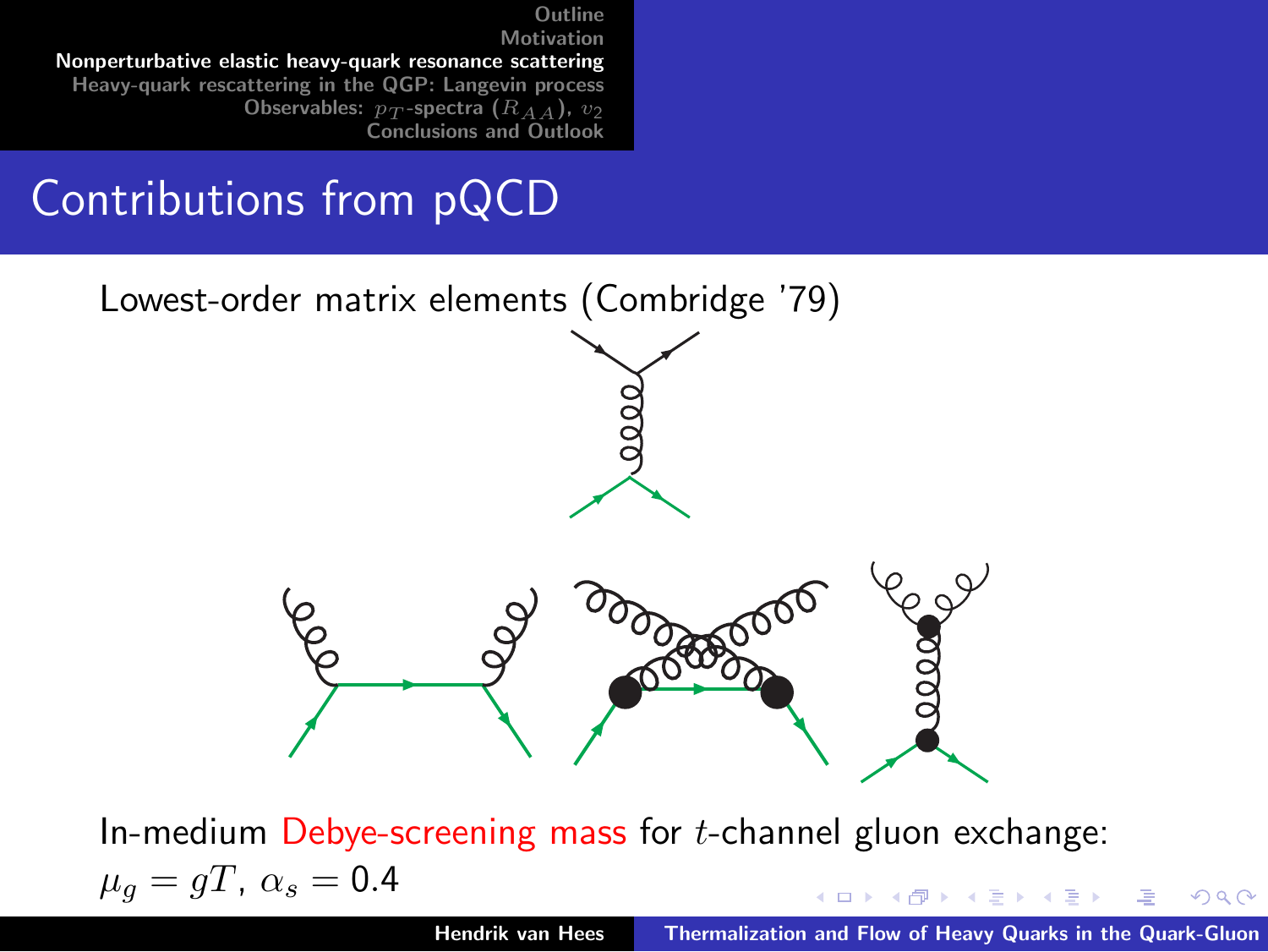### Contributions from pQCD



In-medium Debye-screening mass for  $t$ -channel gluon exchange:  $\mu_q = gT, \ \alpha_s = 0.4$ K ロ ⊁ K 倒 ≯ K ミ ⊁ K ミ ⊁

<span id="page-6-0"></span>Hendrik van Hees Thermalization and Flow of Heavy Quarks in the Quark-Gluon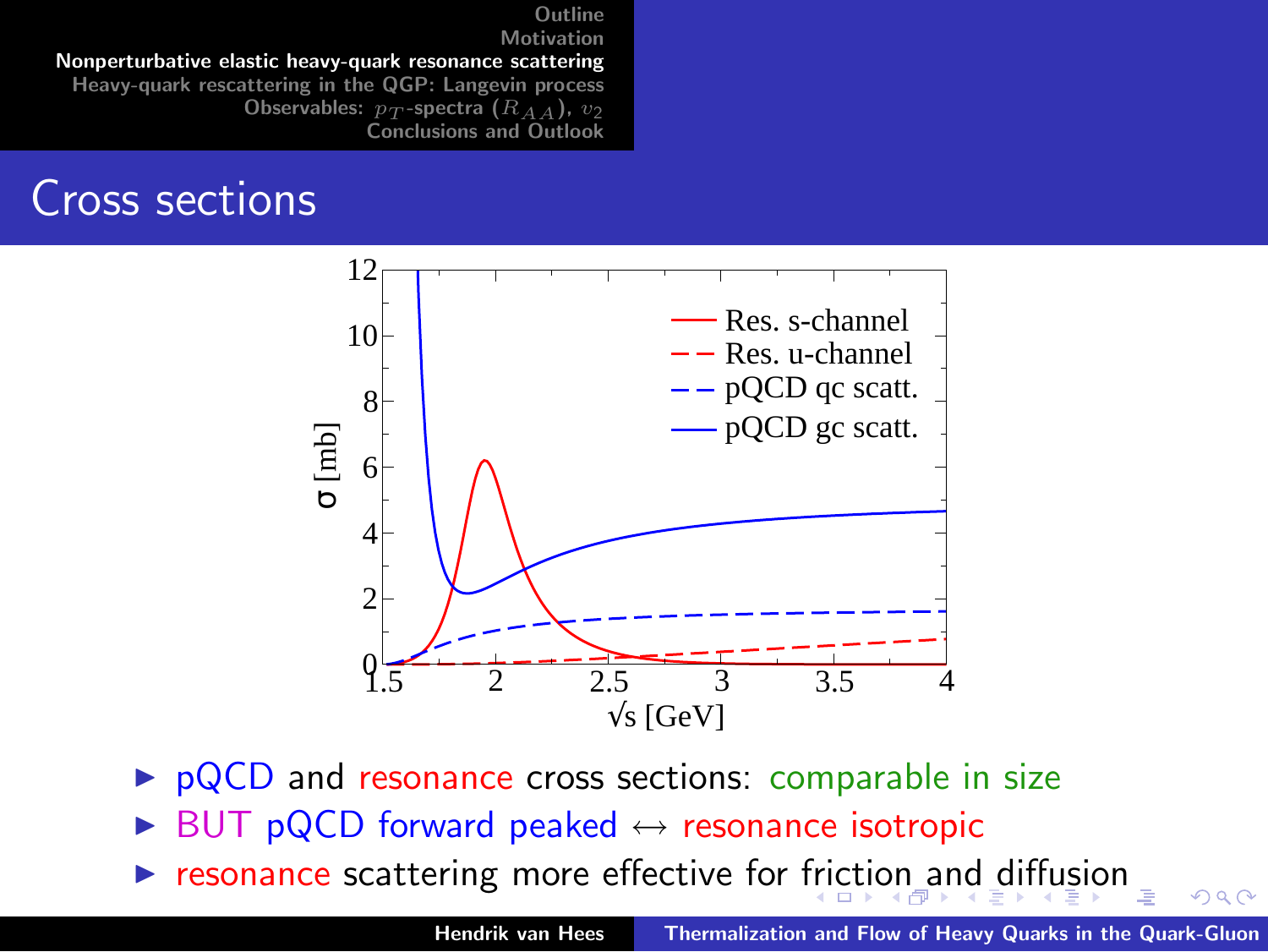[Outline](#page-1-0) Motivation

[Nonperturbative elastic heavy-quark resonance scattering](#page-4-0) [Heavy-quark rescattering in the QGP: Langevin process](#page-8-0) [Observables:](#page-12-0)  $p_T$ -spectra  $(R_{AA})$ ,  $v_2$ 

[Conclusions and Outlook](#page-15-0)

#### Cross sections



- $\triangleright$  pQCD and resonance cross sections: comparable in size
- $\triangleright$  BUT pQCD forward peaked  $\leftrightarrow$  resonance isotropic
- $\triangleright$  $\triangleright$  $\triangleright$  $\triangleright$  $\triangleright$  resonance scattering more effective for [fric](#page-6-0)[ti](#page-8-0)[o](#page-8-0)[n a](#page-7-0)n[d](#page-3-0) [d](#page-7-0)i[ff](#page-3-0)[u](#page-4-0)[si](#page-7-0)on

<span id="page-7-0"></span> $290$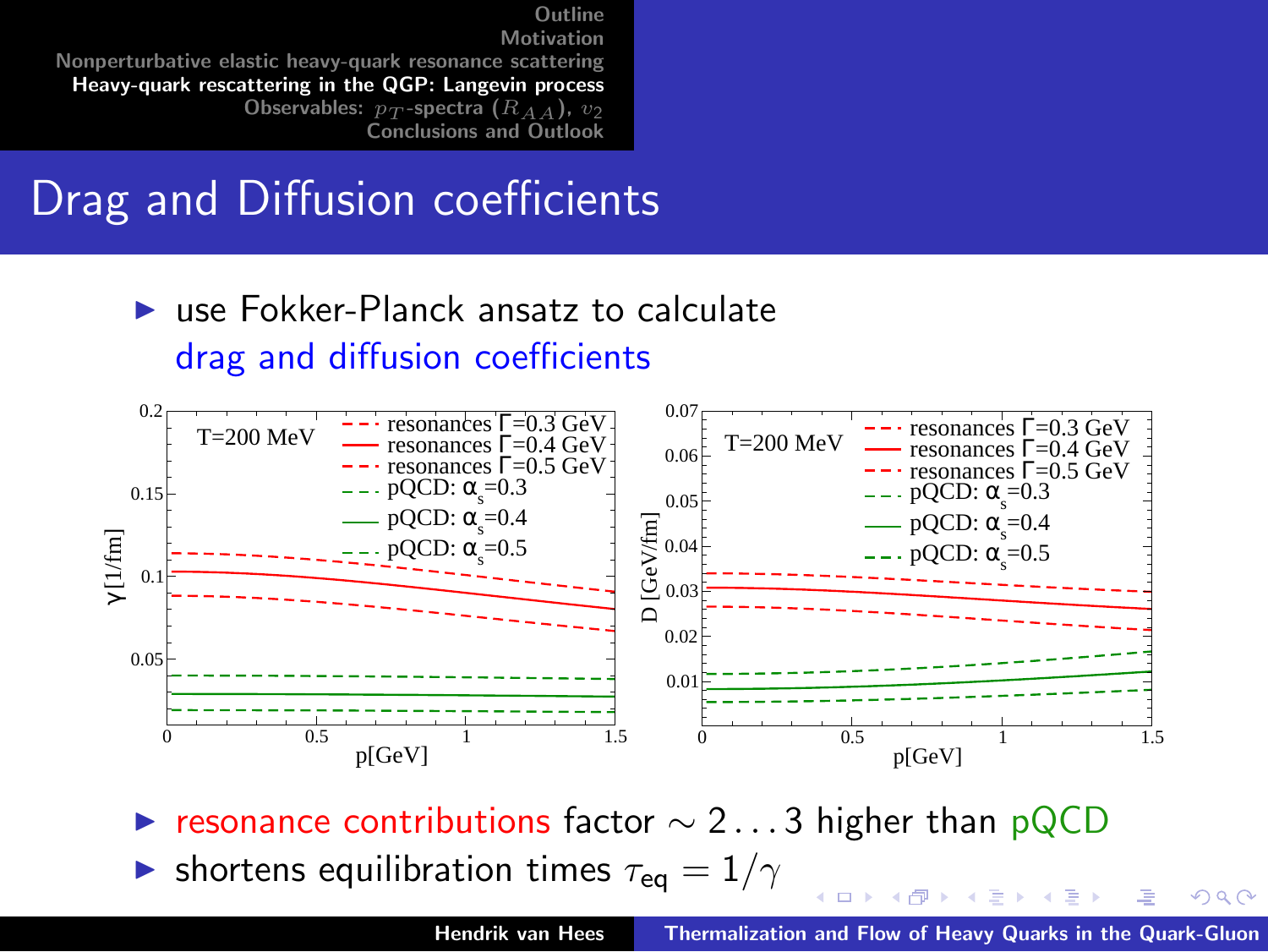## Drag and Diffusion coefficients

 $\blacktriangleright$  use Fokker-Planck ansatz to calculate drag and diffusion coefficients



resonance contributions factor  $\sim$  2...3 higher than pQCD **In shortens equilibration times**  $\tau_{eq} = 1/\gamma$  $(0.12.5 \pm 0.000)$  and  $(0.12.5 \pm 0.000)$ 

<span id="page-8-0"></span> $290$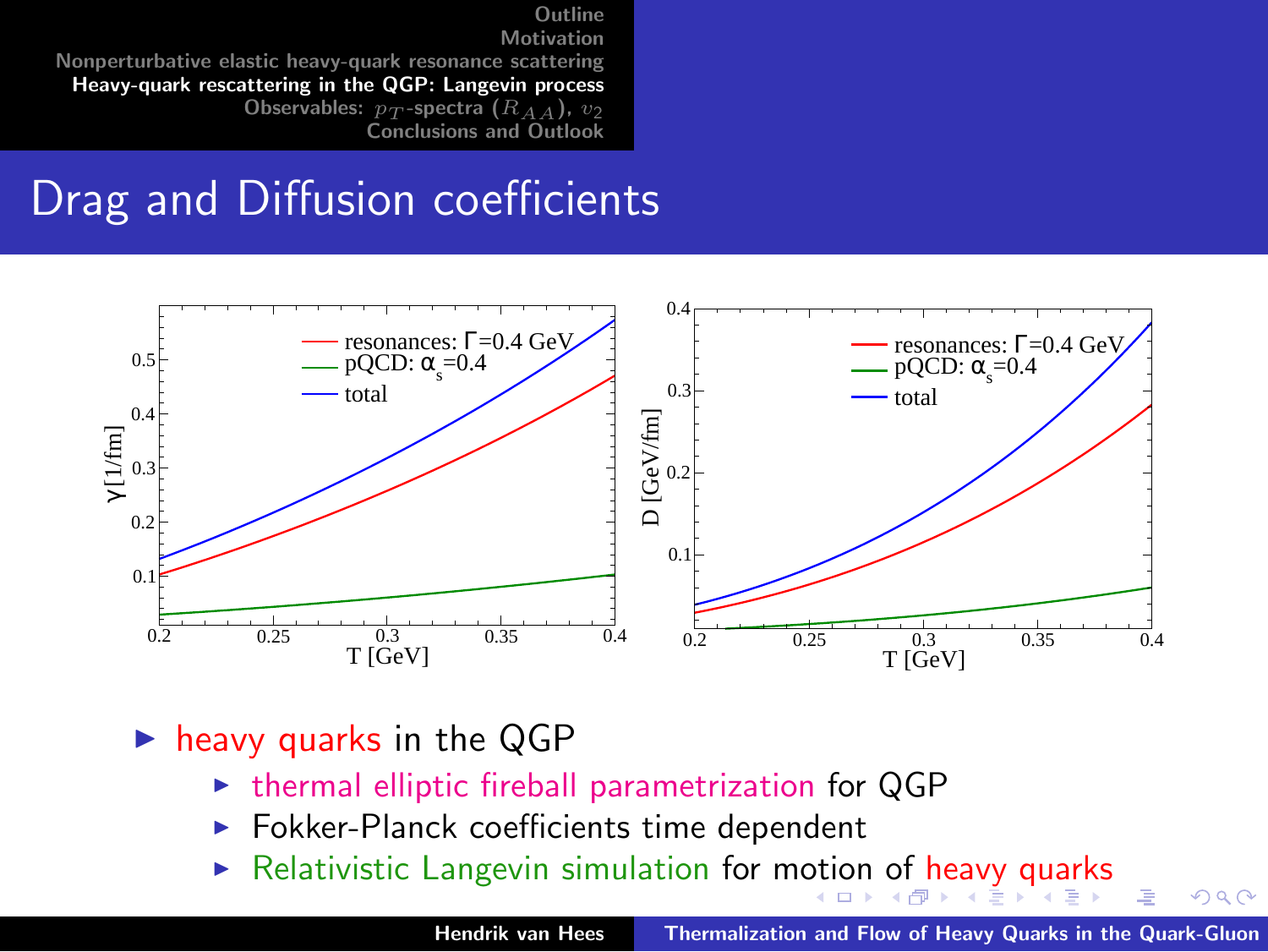### Drag and Diffusion coefficients



#### $\triangleright$  heavy quarks in the QGP

- $\triangleright$  thermal elliptic fireball parametrization for QGP
- Fokker-Planck coefficients time dependent
- <span id="page-9-0"></span>Relativistic Langevin simulation for m[oti](#page-8-0)o[n](#page-10-0) [o](#page-8-0)[f](#page-9-0) [h](#page-9-0)[e](#page-10-0)[a](#page-8-0)[v](#page-8-0)[y](#page-11-0) [q](#page-12-0)[u](#page-7-0)a[r](#page-11-0)[ks](#page-12-0)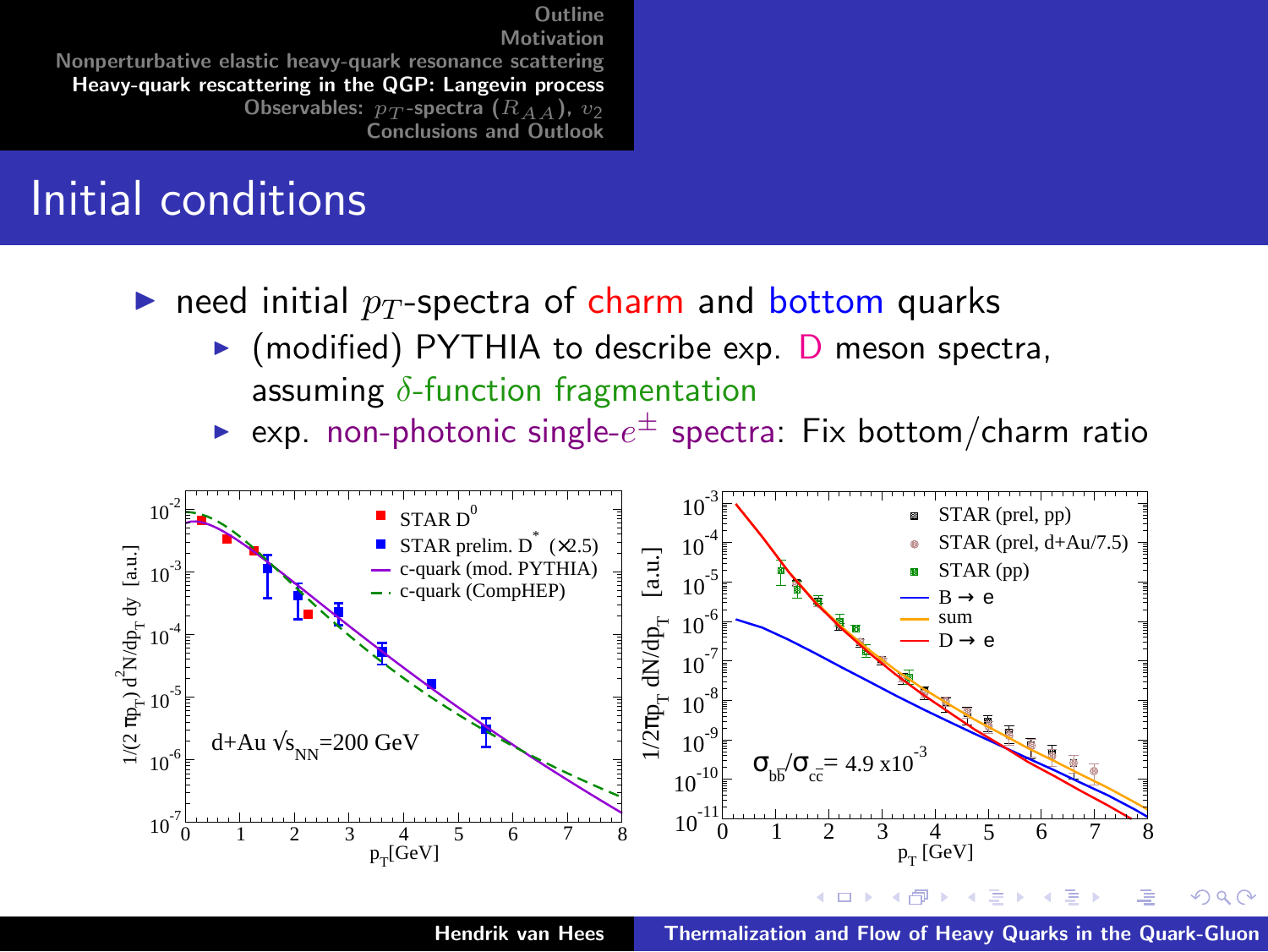# Initial conditions

- riangleright need initial  $p_T$ -spectra of charm and bottom quarks
	- $\triangleright$  (modified) PYTHIA to describe exp. D meson spectra, assuming  $\delta$ -function fragmentation
	- $\blacktriangleright$  exp. non-photonic single- $e^\pm$  spectra: Fix bottom/charm ratio



<span id="page-10-0"></span>Hendrik van Hees Thermalization and Flow of Heavy Quarks in the Quark-Gluon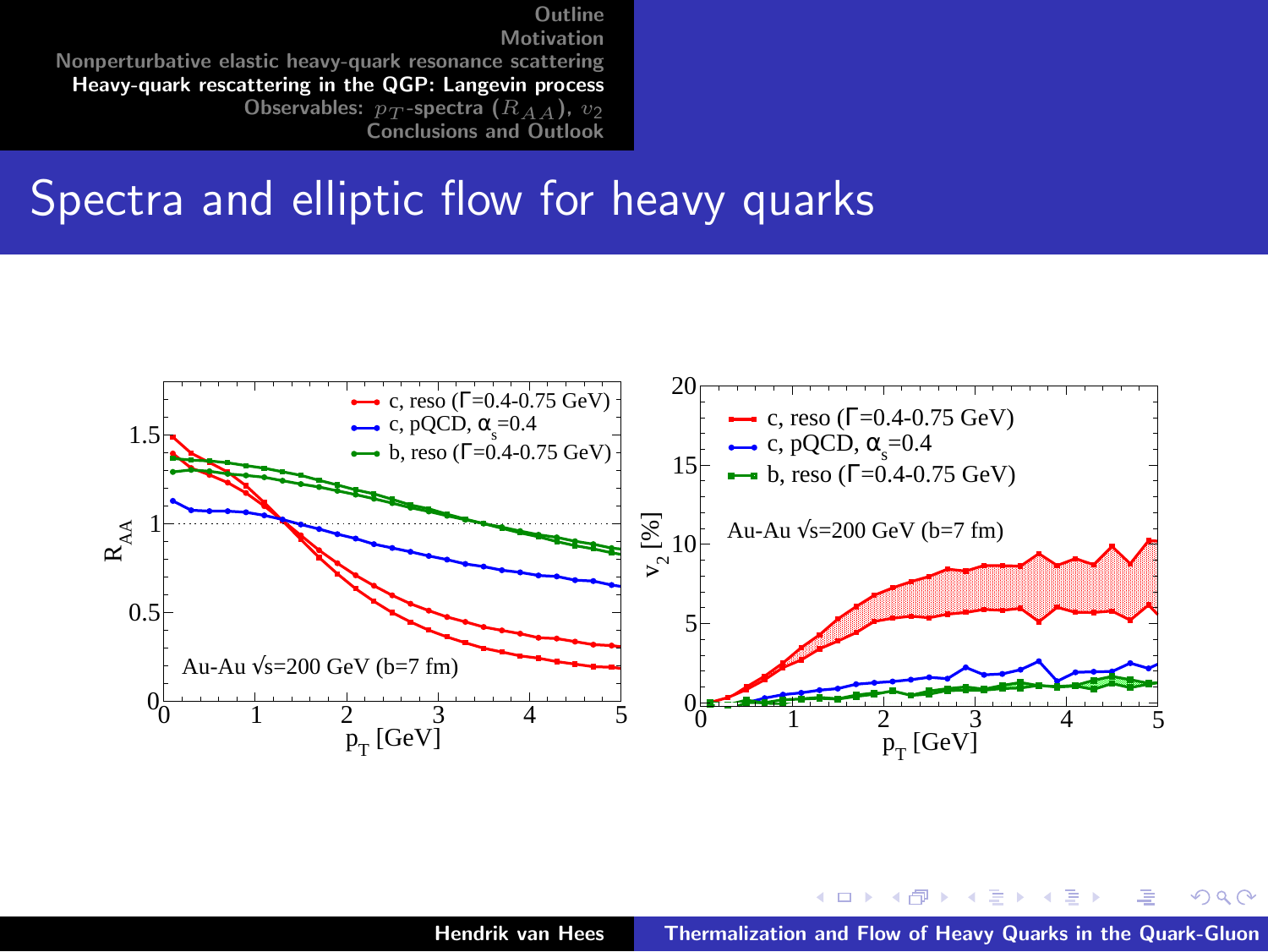#### Spectra and elliptic flow for heavy quarks



<span id="page-11-0"></span>イロメ イ御メ イヨメ イヨメ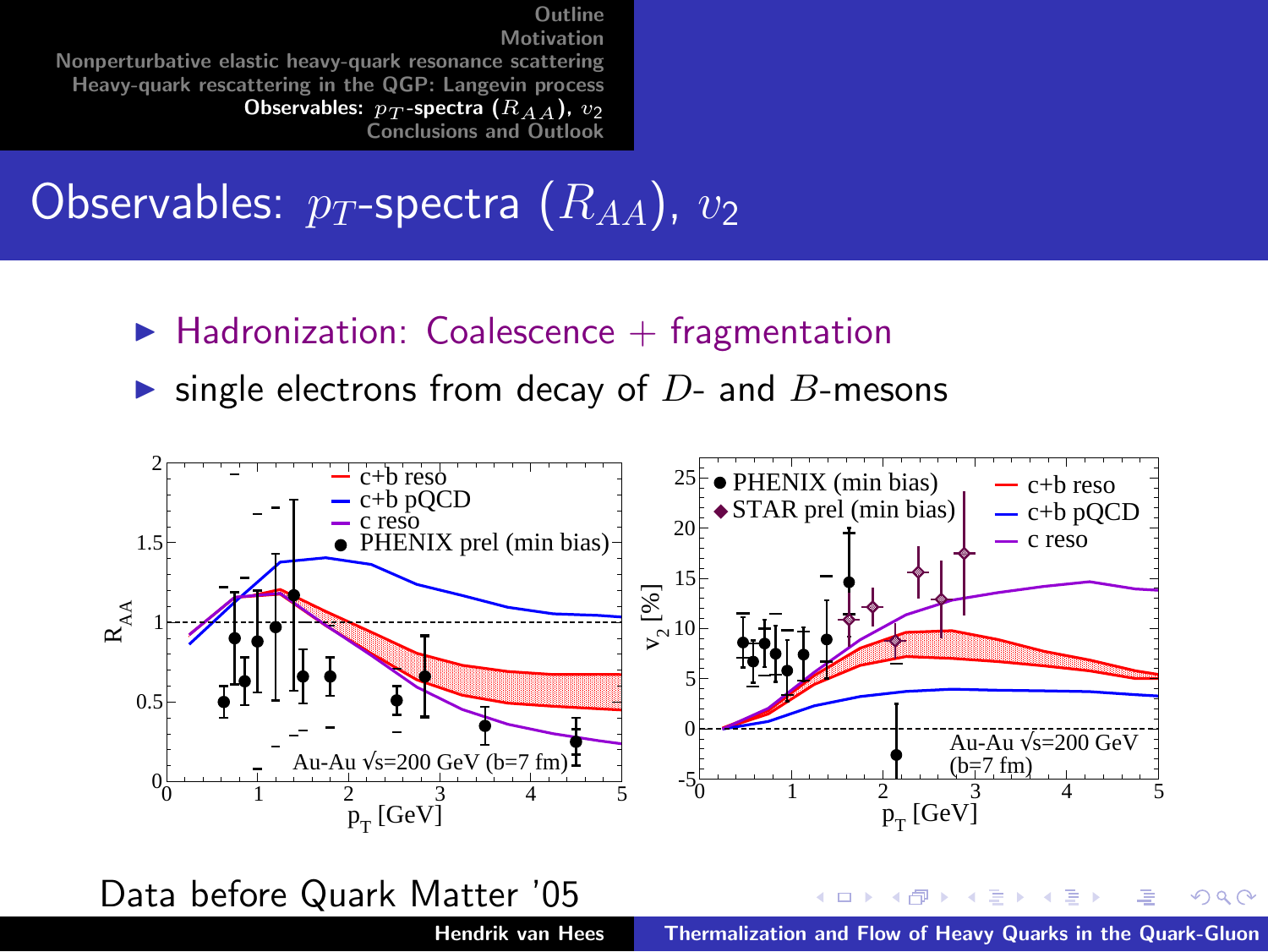Observables:  $p_T$ -spectra  $(R_{AA})$ ,  $v_2$ 

- $\blacktriangleright$  Hadronization: Coalescence  $+$  fragmentation
- ighthrow single electrons from decay of  $D$  and  $B$ -mesons



<span id="page-12-0"></span>Hendrik van Hees Thermalization and Flow of Heavy Quarks in the Quark-Gluon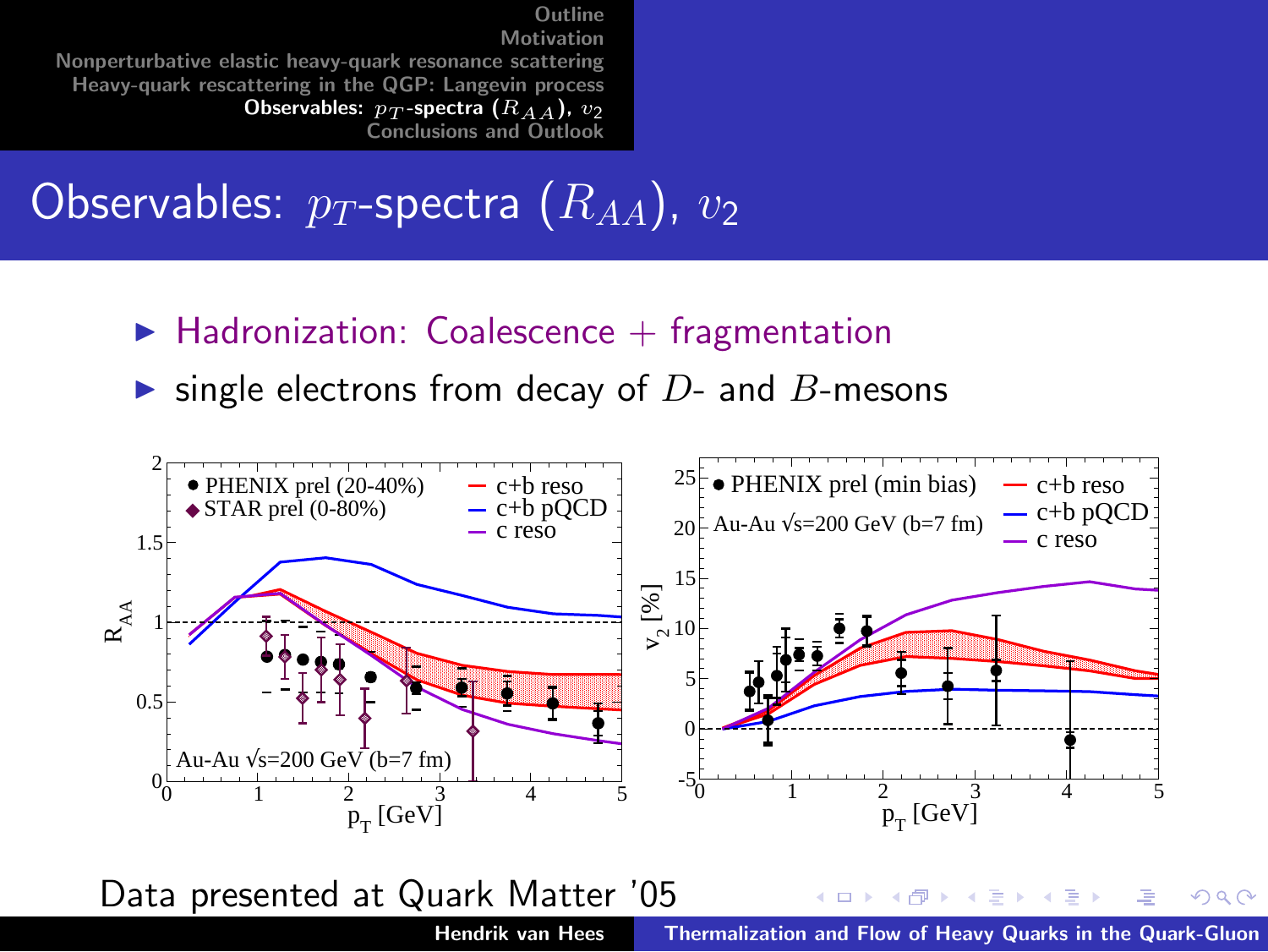Observables:  $p_T$ -spectra  $(R_{AA})$ ,  $v_2$ 

- $\blacktriangleright$  Hadronization: Coalescence + fragmentation
- ighthrow single electrons from decay of  $D$  and  $B$ -mesons

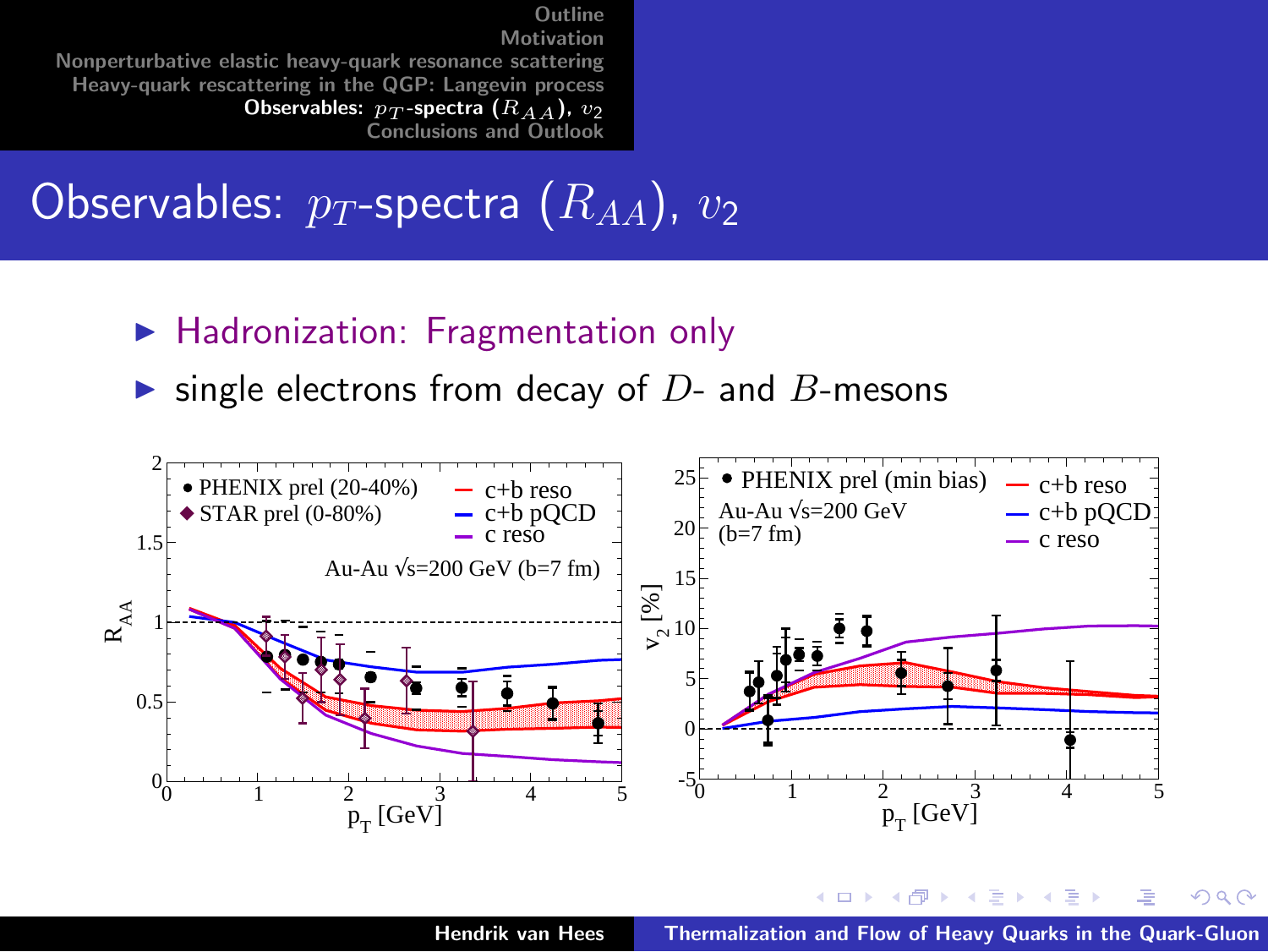Observables:  $p_T$ -spectra  $(R_{AA})$ ,  $v_2$ 

- $\blacktriangleright$  Hadronization: Fragmentation only
- ighthrow single electrons from decay of  $D$  and  $B$ -mesons



Hendrik van Hees Thermalization and Flow of Heavy Quarks in the Quark-Gluon

メロメ メ御 メメ ミメ メミメ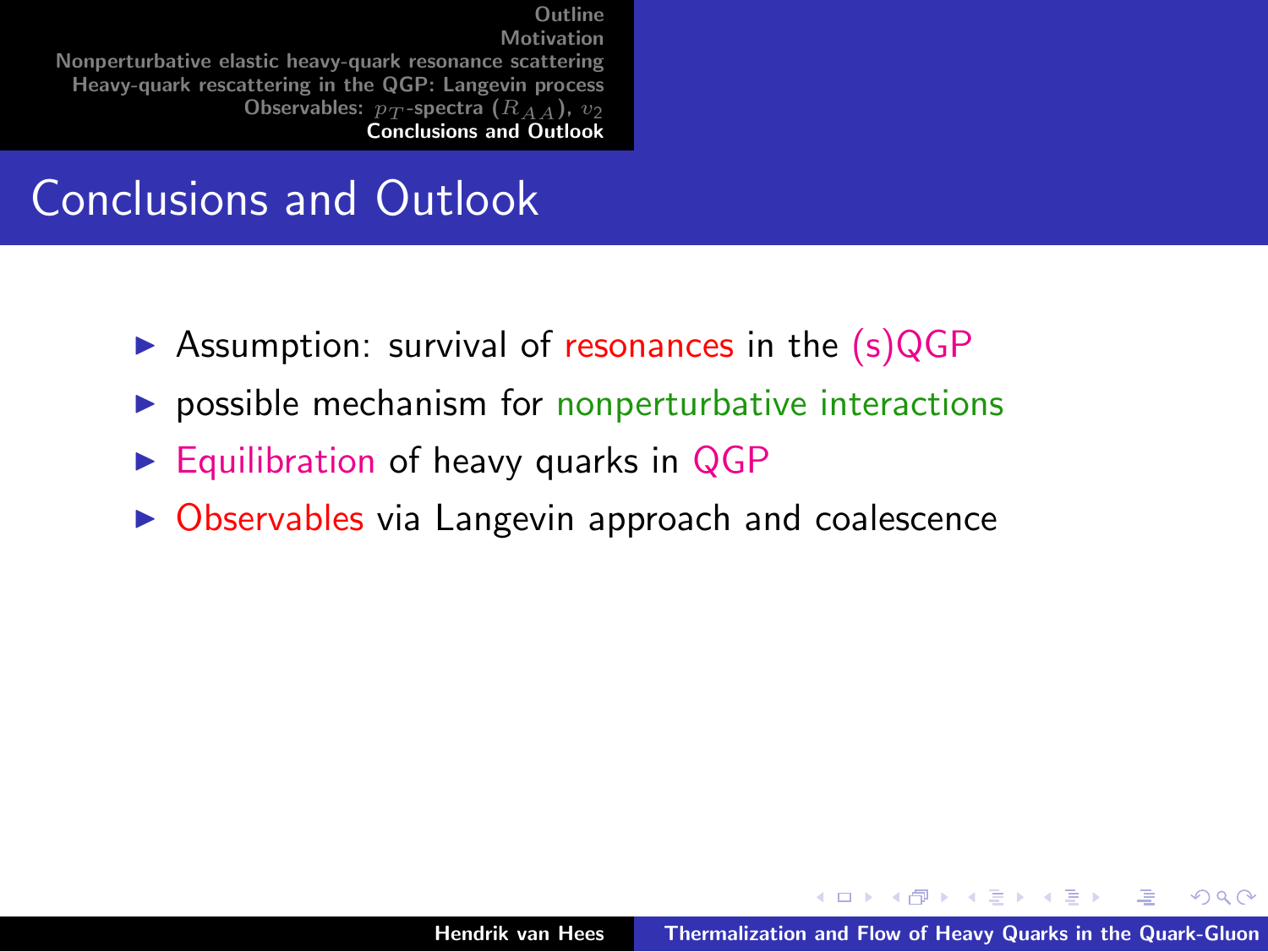## Conclusions and Outlook

- $\triangleright$  Assumption: survival of resonances in the  $(s)$ QGP
- $\triangleright$  possible mechanism for nonperturbative interactions
- $\blacktriangleright$  Equilibration of heavy quarks in QGP
- $\triangleright$  Observables via Langevin approach and coalescence

<span id="page-15-0"></span>イロト イ押 トイモト イモト